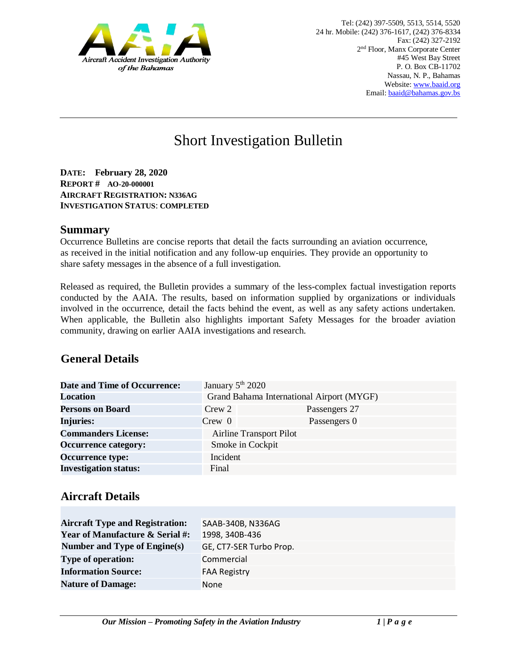

# Short Investigation Bulletin

**DATE: February 28, 2020 REPORT # AO-20-000001 AIRCRAFT REGISTRATION: N336AG INVESTIGATION STATUS**: **COMPLETED**

#### **Summary**

Occurrence Bulletins are concise reports that detail the facts surrounding an aviation occurrence, as received in the initial notification and any follow-up enquiries. They provide an opportunity to share safety messages in the absence of a full investigation*.* 

Released as required, the Bulletin provides a summary of the less-complex factual investigation reports conducted by the AAIA. The results, based on information supplied by organizations or individuals involved in the occurrence, detail the facts behind the event, as well as any safety actions undertaken. When applicable, the Bulletin also highlights important Safety Messages for the broader aviation community, drawing on earlier AAIA investigations and research.

# **General Details**

| <b>Date and Time of Occurrence:</b> | January $5th 2020$                        |                                |
|-------------------------------------|-------------------------------------------|--------------------------------|
| <b>Location</b>                     | Grand Bahama International Airport (MYGF) |                                |
| <b>Persons on Board</b>             | Crew 2                                    | Passengers 27                  |
| Injuries:                           | Crew 0                                    | Passengers 0                   |
| <b>Commanders License:</b>          |                                           | <b>Airline Transport Pilot</b> |
| <b>Occurrence category:</b>         |                                           | Smoke in Cockpit               |
| <b>Occurrence type:</b>             | Incident                                  |                                |
| <b>Investigation status:</b>        | Final                                     |                                |

## **Aircraft Details**

| <b>Aircraft Type and Registration:</b>     | SAAB-340B, N336AG       |  |
|--------------------------------------------|-------------------------|--|
| <b>Year of Manufacture &amp; Serial #:</b> | 1998, 340B-436          |  |
| Number and Type of Engine(s)               | GE, CT7-SER Turbo Prop. |  |
| <b>Type of operation:</b>                  | Commercial              |  |
| <b>Information Source:</b>                 | <b>FAA Registry</b>     |  |
| <b>Nature of Damage:</b>                   | <b>None</b>             |  |
|                                            |                         |  |